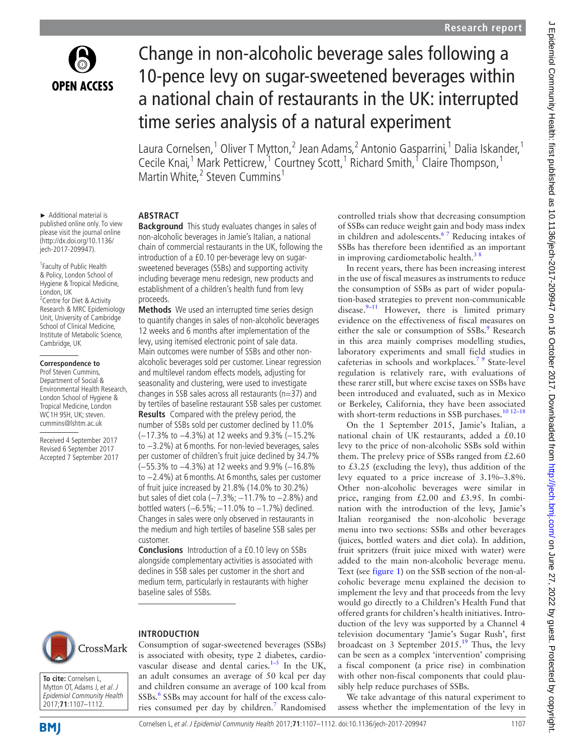

► Additional material is published online only. To view please visit the journal online (http://dx.doi.org/10.1136/ jech-2017-209947). 1 Faculty of Public Health & Policy, London School of Hygiene & Tropical Medicine,

<sup>2</sup> Centre for Diet & Activity Research & MRC Epidemiology Unit, University of Cambridge School of Clinical Medicine, Institute of Metabolic Science,

London, UK

Cambridge, UK

**Correspondence to** Prof Steven Cummins, Department of Social & Environmental Health Research, London School of Hygiene & Tropical Medicine, London WC1H 9SH, UK; steven. cummins@lshtm.ac.uk Received 4 September 2017 Revised 6 September 2017 Accepted 7 September 2017

# Change in non-alcoholic beverage sales following a 10-pence levy on sugar-sweetened beverages within a national chain of restaurants in the UK: interrupted time series analysis of a natural experiment

Laura Cornelsen,<sup>1</sup> Oliver T Mytton,<sup>2</sup> Jean Adams,<sup>2</sup> Antonio Gasparrini,<sup>1</sup> Dalia Iskander,<sup>1</sup> Cecile Knai,<sup>1</sup> Mark Petticrew,<sup>1</sup> Courtney Scott,<sup>1</sup> Richard Smith,<sup>1</sup> Claire Thompson,<sup>1</sup> Martin White,<sup>2</sup> Steven Cummins<sup>1</sup>

# **Abstract**

**Background** This study evaluates changes in sales of non-alcoholic beverages in Jamie's Italian, a national chain of commercial restaurants in the UK, following the introduction of a £0.10 per-beverage levy on sugarsweetened beverages (SSBs) and supporting activity including beverage menu redesign, new products and establishment of a children's health fund from levy proceeds.

**Methods** We used an interrupted time series design to quantify changes in sales of non-alcoholic beverages 12 weeks and 6 months after implementation of the levy, using itemised electronic point of sale data. Main outcomes were number of SSBs and other nonalcoholic beverages sold per customer. Linear regression and multilevel random effects models, adjusting for seasonality and clustering, were used to investigate changes in SSB sales across all restaurants (n=37) and by tertiles of baseline restaurant SSB sales per customer. **Results** Compared with the prelevy period, the number of SSBs sold per customer declined by 11.0% (−17.3% to −4.3%) at 12 weeks and 9.3% (−15.2% to −3.2%) at 6months. For non-levied beverages, sales per customer of children's fruit juice declined by 34.7% (−55.3% to −4.3%) at 12 weeks and 9.9% (−16.8% to −2.4%) at 6months. At 6months, sales per customer of fruit juice increased by 21.8% (14.0% to 30.2%) but sales of diet cola (-7.3%; -11.7% to -2.8%) and bottled waters (−6.5%; −11.0% to −1.7%) declined. Changes in sales were only observed in restaurants in the medium and high tertiles of baseline SSB sales per customer.

**Conclusions** Introduction of a £0.10 levy on SSBs alongside complementary activities is associated with declines in SSB sales per customer in the short and medium term, particularly in restaurants with higher baseline sales of SSBs.



#### **To cite:** Cornelsen L, Mytton OT, Adams J, et al. J Epidemiol Community Health 2017;**71**:1107–1112.

# **BMI**

# **Introduction**

Consumption of sugar-sweetened beverages (SSBs) is associated with obesity, type 2 diabetes, cardiovascular disease and dental caries. $1-5$  In the UK, an adult consumes an average of 50 kcal per day and children consume an average of 100 kcal from SSBs.<sup>6</sup> SSBs may account for half of the excess calo-ries consumed per day by children.<sup>[7](#page-5-2)</sup> Randomised controlled trials show that decreasing consumption of SSBs can reduce weight gain and body mass index in children and adolescents.<sup>67</sup> Reducing intakes of SSBs has therefore been identified as an important in improving cardiometabolic health.<sup>38</sup>

In recent years, there has been increasing interest in the use of fiscal measures as instruments to reduce the consumption of SSBs as part of wider population-based strategies to prevent non-communicable disease. $9-11$  However, there is limited primary evidence on the effectiveness of fiscal measures on either the sale or consumption of SSBs.<sup>9</sup> Research in this area mainly comprises modelling studies, laboratory experiments and small field studies in cafeterias in schools and workplaces.<sup>79</sup> State-level regulation is relatively rare, with evaluations of these rarer still, but where excise taxes on SSBs have been introduced and evaluated, such as in Mexico or Berkeley, California, they have been associated with short-term reductions in SSB purchases.<sup>10 12-18</sup>

On the 1 September 2015, Jamie's Italian, a national chain of UK restaurants, added a £0.10 levy to the price of non-alcoholic SSBs sold within them. The prelevy price of SSBs ranged from  $£2.60$ to £3.25 (excluding the levy), thus addition of the levy equated to a price increase of 3.1%–3.8%. Other non-alcoholic beverages were similar in price, ranging from £2.00 and £3.95. In combination with the introduction of the levy, Jamie's Italian reorganised the non-alcoholic beverage menu into two sections: SSBs and other beverages (juices, bottled waters and diet cola). In addition, fruit spritzers (fruit juice mixed with water) were added to the main non-alcoholic beverage menu. Text (see [figure](#page-1-0) 1) on the SSB section of the non-alcoholic beverage menu explained the decision to implement the levy and that proceeds from the levy would go directly to a Children's Health Fund that offered grants for children's health initiatives. Introduction of the levy was supported by a Channel 4 television documentary 'Jamie's Sugar Rush', first broadcast on 3 September  $2015<sup>19</sup>$  Thus, the levy can be seen as a complex 'intervention' comprising a fiscal component (a price rise) in combination with other non-fiscal components that could plausibly help reduce purchases of SSBs.

We take advantage of this natural experiment to assess whether the implementation of the levy in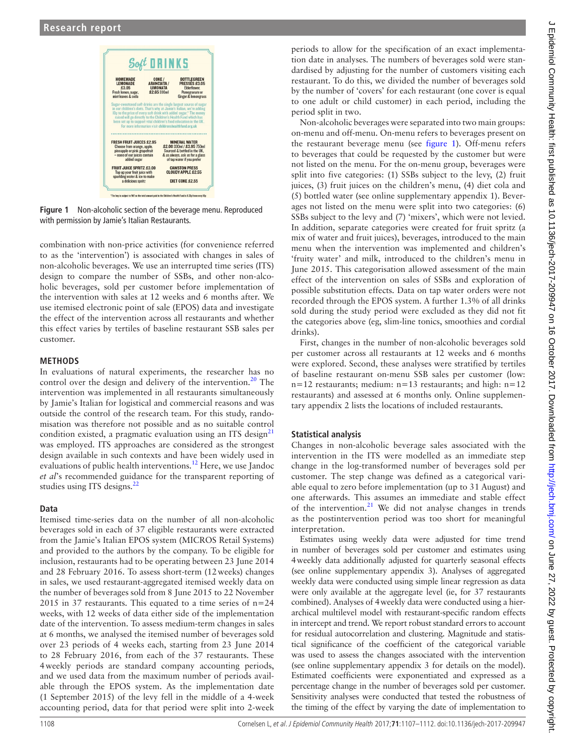

<span id="page-1-0"></span>**Figure 1** Non-alcoholic section of the beverage menu. Reproduced with permission by Jamie's Italian Restaurants.

combination with non-price activities (for convenience referred to as the 'intervention') is associated with changes in sales of non-alcoholic beverages. We use an interrupted time series (ITS) design to compare the number of SSBs, and other non-alcoholic beverages, sold per customer before implementation of the intervention with sales at 12 weeks and 6 months after. We use itemised electronic point of sale (EPOS) data and investigate the effect of the intervention across all restaurants and whether this effect varies by tertiles of baseline restaurant SSB sales per customer.

#### **Methods**

In evaluations of natural experiments, the researcher has no control over the design and delivery of the intervention.<sup>[20](#page-5-7)</sup> The intervention was implemented in all restaurants simultaneously by Jamie's Italian for logistical and commercial reasons and was outside the control of the research team. For this study, randomisation was therefore not possible and as no suitable control condition existed, a pragmatic evaluation using an ITS design<sup>[21](#page-5-8)</sup> was employed. ITS approaches are considered as the strongest design available in such contexts and have been widely used in evaluations of public health interventions.[12](#page-5-9) Here, we use Jandoc *et al*'s recommended guidance for the transparent reporting of studies using ITS designs.<sup>[22](#page-5-10)</sup>

## **Data**

Itemised time-series data on the number of all non-alcoholic beverages sold in each of 37 eligible restaurants were extracted from the Jamie's Italian EPOS system (MICROS Retail Systems) and provided to the authors by the company. To be eligible for inclusion, restaurants had to be operating between 23 June 2014 and 28 February 2016. To assess short-term (12weeks) changes in sales, we used restaurant-aggregated itemised weekly data on the number of beverages sold from 8 June 2015 to 22 November 2015 in 37 restaurants. This equated to a time series of  $n=24$ weeks, with 12 weeks of data either side of the implementation date of the intervention. To assess medium-term changes in sales at 6 months, we analysed the itemised number of beverages sold over 23 periods of 4 weeks each, starting from 23 June 2014 to 28 February 2016, from each of the 37 restaurants. These 4weekly periods are standard company accounting periods, and we used data from the maximum number of periods available through the EPOS system. As the implementation date (1 September 2015) of the levy fell in the middle of a 4-week accounting period, data for that period were split into 2-week

periods to allow for the specification of an exact implementation date in analyses. The numbers of beverages sold were standardised by adjusting for the number of customers visiting each restaurant. To do this, we divided the number of beverages sold by the number of 'covers' for each restaurant (one cover is equal to one adult or child customer) in each period, including the period split in two.

Non-alcoholic beverages were separated into two main groups: on-menu and off-menu. On-menu refers to beverages present on the restaurant beverage menu (see [figure](#page-1-0) 1). Off-menu refers to beverages that could be requested by the customer but were not listed on the menu. For the on-menu group, beverages were split into five categories: (1) SSBs subject to the levy, (2) fruit juices, (3) fruit juices on the children's menu, (4) diet cola and (5) bottled water (see online [supplementary appendix 1\)](https://dx.doi.org/10.1136/jech-2017-209947). Beverages not listed on the menu were split into two categories: (6) SSBs subject to the levy and (7) 'mixers', which were not levied. In addition, separate categories were created for fruit spritz (a mix of water and fruit juices), beverages, introduced to the main menu when the intervention was implemented and children's 'fruity water' and milk, introduced to the children's menu in June 2015. This categorisation allowed assessment of the main effect of the intervention on sales of SSBs and exploration of possible substitution effects. Data on tap water orders were not recorded through the EPOS system. A further 1.3% of all drinks sold during the study period were excluded as they did not fit the categories above (eg, slim-line tonics, smoothies and cordial drinks).

First, changes in the number of non-alcoholic beverages sold per customer across all restaurants at 12 weeks and 6 months were explored. Second, these analyses were stratified by tertiles of baseline restaurant on-menu SSB sales per customer (low: n=12 restaurants; medium: n=13 restaurants; and high: n=12 restaurants) and assessed at 6 months only. Online [supplemen](https://dx.doi.org/10.1136/jech-2017-209947)[tary appendix 2](https://dx.doi.org/10.1136/jech-2017-209947) lists the locations of included restaurants.

# **Statistical analysis**

Changes in non-alcoholic beverage sales associated with the intervention in the ITS were modelled as an immediate step change in the log-transformed number of beverages sold per customer. The step change was defined as a categorical variable equal to zero before implementation (up to 31 August) and one afterwards. This assumes an immediate and stable effect of the intervention.<sup>[21](#page-5-8)</sup> We did not analyse changes in trends as the postintervention period was too short for meaningful interpretation.

Estimates using weekly data were adjusted for time trend in number of beverages sold per customer and estimates using 4weekly data additionally adjusted for quarterly seasonal effects (see online [supplementary appendix 3](https://dx.doi.org/10.1136/jech-2017-209947)). Analyses of aggregated weekly data were conducted using simple linear regression as data were only available at the aggregate level (ie, for 37 restaurants combined). Analyses of 4weekly data were conducted using a hierarchical multilevel model with restaurant-specific random effects in intercept and trend. We report robust standard errors to account for residual autocorrelation and clustering. Magnitude and statistical significance of the coefficient of the categorical variable was used to assess the changes associated with the intervention (see online [supplementary appendix 3](https://dx.doi.org/10.1136/jech-2017-209947) for details on the model). Estimated coefficients were exponentiated and expressed as a percentage change in the number of beverages sold per customer. Sensitivity analyses were conducted that tested the robustness of the timing of the effect by varying the date of implementation to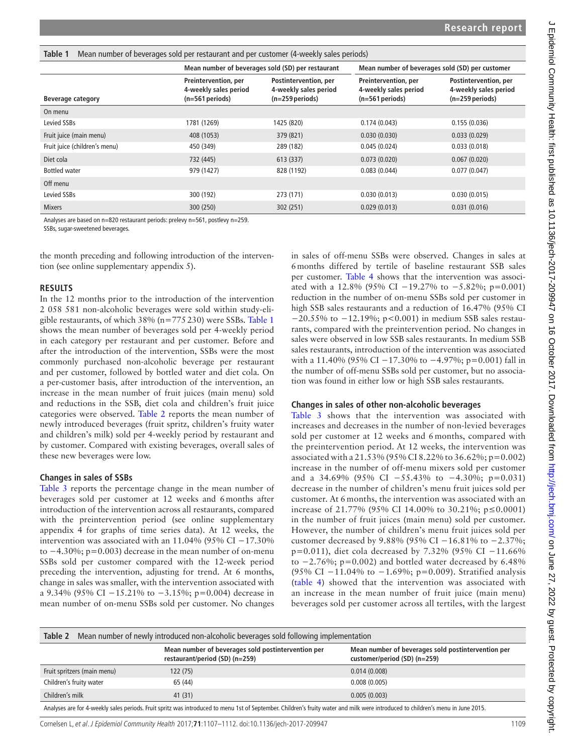| laule L<br>ivicali humber of beverages solu per restaurant and per customer (4-weekiy sales perious) |                                                                    |                                                                     |                                                                    |                                                                     |  |  |  |  |
|------------------------------------------------------------------------------------------------------|--------------------------------------------------------------------|---------------------------------------------------------------------|--------------------------------------------------------------------|---------------------------------------------------------------------|--|--|--|--|
|                                                                                                      | Mean number of beverages sold (SD) per restaurant                  |                                                                     | Mean number of beverages sold (SD) per customer                    |                                                                     |  |  |  |  |
| <b>Beverage category</b>                                                                             | Preintervention, per<br>4-weekly sales period<br>$(n=561$ periods) | Postintervention, per<br>4-weekly sales period<br>$(n=259$ periods) | Preintervention, per<br>4-weekly sales period<br>$(n=561$ periods) | Postintervention, per<br>4-weekly sales period<br>$(n=259$ periods) |  |  |  |  |
| On menu                                                                                              |                                                                    |                                                                     |                                                                    |                                                                     |  |  |  |  |
| Levied SSBs                                                                                          | 1781 (1269)                                                        | 1425 (820)                                                          | 0.174(0.043)                                                       | 0.155(0.036)                                                        |  |  |  |  |
| Fruit juice (main menu)                                                                              | 408 (1053)                                                         | 379 (821)                                                           | 0.030(0.030)                                                       | 0.033(0.029)                                                        |  |  |  |  |
| Fruit juice (children's menu)                                                                        | 450 (349)                                                          | 289 (182)                                                           | 0.045(0.024)                                                       | 0.033(0.018)                                                        |  |  |  |  |
| Diet cola                                                                                            | 732 (445)                                                          | 613 (337)                                                           | 0.073(0.020)                                                       | 0.067(0.020)                                                        |  |  |  |  |
| <b>Bottled water</b>                                                                                 | 979 (1427)                                                         | 828 (1192)                                                          | 0.083(0.044)                                                       | 0.077(0.047)                                                        |  |  |  |  |
| Off menu                                                                                             |                                                                    |                                                                     |                                                                    |                                                                     |  |  |  |  |
| Levied SSBs                                                                                          | 300 (192)                                                          | 273 (171)                                                           | 0.030(0.013)                                                       | 0.030(0.015)                                                        |  |  |  |  |
| <b>Mixers</b>                                                                                        | 300 (250)                                                          | 302 (251)                                                           | 0.029(0.013)                                                       | 0.031(0.016)                                                        |  |  |  |  |
|                                                                                                      |                                                                    |                                                                     |                                                                    |                                                                     |  |  |  |  |

Analyses are based on n=820 restaurant periods: prelevy n=561, postlevy n=259.

SSBs, sugar-sweetened beverages.

the month preceding and following introduction of the intervention (see online [supplementary appendix 5\)](https://dx.doi.org/10.1136/jech-2017-209947).

<span id="page-2-0"></span>**Table 1** Mean number of beverages sold per restaurant and per customer (4-weekly sales periods)

#### **Results**

In the 12 months prior to the introduction of the intervention 2 058 581 non-alcoholic beverages were sold within study-eligible restaurants, of which 38% (n=775230) were SSBs. [Table](#page-2-0) 1 shows the mean number of beverages sold per 4-weekly period in each category per restaurant and per customer. Before and after the introduction of the intervention, SSBs were the most commonly purchased non-alcoholic beverage per restaurant and per customer, followed by bottled water and diet cola. On a per-customer basis, after introduction of the intervention, an increase in the mean number of fruit juices (main menu) sold and reductions in the SSB, diet cola and children's fruit juice categories were observed. [Table](#page-2-1) 2 reports the mean number of newly introduced beverages (fruit spritz, children's fruity water and children's milk) sold per 4-weekly period by restaurant and by customer. Compared with existing beverages, overall sales of these new beverages were low.

#### **Changes in sales of SSBs**

[Table](#page-3-0) 3 reports the percentage change in the mean number of beverages sold per customer at 12 weeks and 6months after introduction of the intervention across all restaurants, compared with the preintervention period (see online [supplementary](https://dx.doi.org/10.1136/jech-2017-209947)  [appendix 4](https://dx.doi.org/10.1136/jech-2017-209947) for graphs of time series data). At 12 weeks, the intervention was associated with an 11.04% (95% CI −17.30% to −4.30%; p=0.003) decrease in the mean number of on-menu SSBs sold per customer compared with the 12-week period preceding the intervention, adjusting for trend. At 6 months, change in sales was smaller, with the intervention associated with a 9.34% (95% CI −15.21% to −3.15%; p=0.004) decrease in mean number of on-menu SSBs sold per customer. No changes

in sales of off-menu SSBs were observed. Changes in sales at 6months differed by tertile of baseline restaurant SSB sales per customer. [Table](#page-3-1) 4 shows that the intervention was associated with a 12.8% (95% CI −19.27% to −5.82%; p=0.001) reduction in the number of on-menu SSBs sold per customer in high SSB sales restaurants and a reduction of 16.47% (95% CI −20.55% to −12.19%; p<0.001) in medium SSB sales restaurants, compared with the preintervention period. No changes in sales were observed in low SSB sales restaurants. In medium SSB sales restaurants, introduction of the intervention was associated with a 11.40% (95% CI −17.30% to −4.97%; p=0.001) fall in the number of off-menu SSBs sold per customer, but no association was found in either low or high SSB sales restaurants.

#### **Changes in sales of other non-alcoholic beverages**

[Table](#page-3-0) 3 shows that the intervention was associated with increases and decreases in the number of non-levied beverages sold per customer at 12 weeks and 6 months, compared with the preintervention period. At 12 weeks, the intervention was associated with a 21.53% (95% CI 8.22% to 36.62%; p=0.002) increase in the number of off-menu mixers sold per customer and a 34.69% (95% CI −55.43% to −4.30%; p=0.031) decrease in the number of children's menu fruit juices sold per customer. At 6 months, the intervention was associated with an increase of 21.77% (95% CI 14.00% to 30.21%; p≤0.0001) in the number of fruit juices (main menu) sold per customer. However, the number of children's menu fruit juices sold per customer decreased by 9.88% (95% CI −16.81% to −2.37%; p=0.011), diet cola decreased by 7.32% (95% CI −11.66% to −2.76%; p=0.002) and bottled water decreased by 6.48% (95% CI −11.04% to −1.69%; p=0.009). Stratified analysis ([table](#page-3-1) 4) showed that the intervention was associated with an increase in the mean number of fruit juice (main menu) beverages sold per customer across all tertiles, with the largest

<span id="page-2-1"></span>

| Mean number of newly introduced non-alcoholic beverages sold following implementation<br>Table 2                                                                                 |                                                                                      |                                                                                    |  |  |  |  |
|----------------------------------------------------------------------------------------------------------------------------------------------------------------------------------|--------------------------------------------------------------------------------------|------------------------------------------------------------------------------------|--|--|--|--|
|                                                                                                                                                                                  | Mean number of beverages sold postintervention per<br>restaurant/period (SD) (n=259) | Mean number of beverages sold postintervention per<br>customer/period (SD) (n=259) |  |  |  |  |
| Fruit spritzers (main menu)                                                                                                                                                      | 122 (75)                                                                             | 0.014(0.008)                                                                       |  |  |  |  |
| Children's fruity water                                                                                                                                                          | 65 (44)                                                                              | 0.008(0.005)                                                                       |  |  |  |  |
| Children's milk                                                                                                                                                                  | 41(31)                                                                               | 0.005(0.003)                                                                       |  |  |  |  |
| Analyses are for 4-weekly sales periods. Fruit spritz was introduced to menu 1st of September. Children's fruity water and milk were introduced to children's menu in June 2015. |                                                                                      |                                                                                    |  |  |  |  |

Cornelsen L, et al. J Epidemiol Community Health 2017;**71**:1107–1112. doi:10.1136/jech-2017-209947 1109

J Epidemiol Community Health: first published as 10.1126/jech-2017-209947 on 16 October 2017. Downloaded from http://jech.bmj.com/ on June 27, 2022 by guest. Protected by copyright J Epidemiol Community Health: first published as 10.1136/jech-2017-209947 on 16 October 2017. Downloaded from <http://jech.bmj.com/> on June 27, 2022 by guest. Protected by copyright.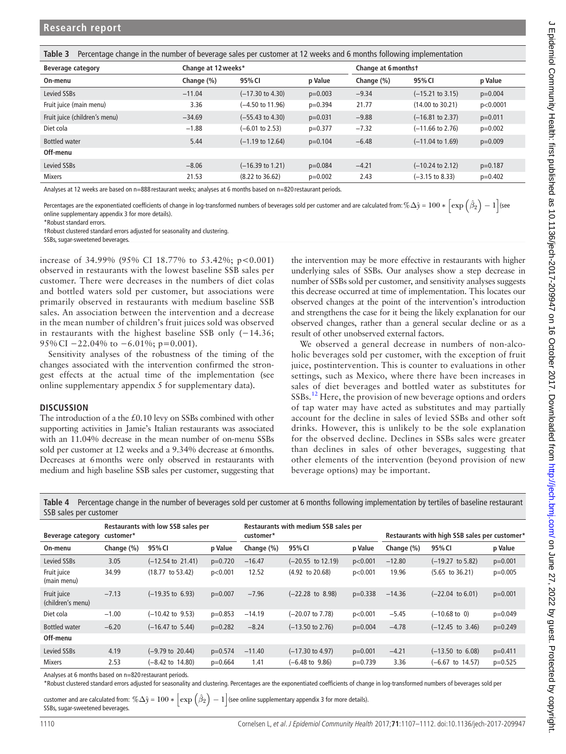<span id="page-3-0"></span>

|  | Table 3 Percentage change in the number of beverage sales per customer at 12 weeks and 6 months following implementation |
|--|--------------------------------------------------------------------------------------------------------------------------|
|  |                                                                                                                          |

| Beverage category             | Change at 12 weeks*<br>Change at 6 months t |                             |           |            |                             |           |
|-------------------------------|---------------------------------------------|-----------------------------|-----------|------------|-----------------------------|-----------|
| On-menu                       | Change (%)                                  | 95% CI                      | p Value   | Change (%) | 95% CI                      | p Value   |
| Levied SSBs                   | $-11.04$                                    | $(-17.30 \text{ to } 4.30)$ | $p=0.003$ | $-9.34$    | $(-15.21 \text{ to } 3.15)$ | $p=0.004$ |
| Fruit juice (main menu)       | 3.36                                        | $(-4.50 \text{ to } 11.96)$ | $p=0.394$ | 21.77      | $(14.00 \text{ to } 30.21)$ | p<0.0001  |
| Fruit juice (children's menu) | $-34.69$                                    | $(-55.43 \text{ to } 4.30)$ | $p=0.031$ | $-9.88$    | $(-16.81$ to 2.37)          | $p=0.011$ |
| Diet cola                     | $-1.88$                                     | $(-6.01 \text{ to } 2.53)$  | $p=0.377$ | $-7.32$    | $(-11.66 \text{ to } 2.76)$ | $p=0.002$ |
| <b>Bottled</b> water          | 5.44                                        | $(-1.19 \text{ to } 12.64)$ | $p=0.104$ | $-6.48$    | $(-11.04 \text{ to } 1.69)$ | $p=0.009$ |
| Off-menu                      |                                             |                             |           |            |                             |           |
| Levied SSBs                   | $-8.06$                                     | $(-16.39 \text{ to } 1.21)$ | $p=0.084$ | $-4.21$    | $(-10.24 \text{ to } 2.12)$ | $p=0.187$ |
| <b>Mixers</b>                 | 21.53                                       | $(8.22 \text{ to } 36.62)$  | $p=0.002$ | 2.43       | $(-3.15 \text{ to } 8.33)$  | $p=0.402$ |
|                               |                                             |                             |           |            |                             |           |

Analyses at 12 weeks are based on n=888 restaurant weeks; analyses at 6 months based on n=820 restaurant periods.

Percentages are the exponentiated coefficients of change in log-transformed numbers of beverages sold per customer and are calculated from:  $\%\Delta\hat{y}=100*\left[\exp\left(\hat{\beta}_{2}\right)-1\right]$  (see online [supplementary appendix 3](https://dx.doi.org/10.1136/jech-2017-209947) for more details).

\*Robust standard errors.

†Robust clustered standard errors adjusted for seasonality and clustering.

SSBs, sugar-sweetened beverages.

increase of 34.99% (95% CI 18.77% to 53.42%; p<0.001) observed in restaurants with the lowest baseline SSB sales per customer. There were decreases in the numbers of diet colas and bottled waters sold per customer, but associations were primarily observed in restaurants with medium baseline SSB sales. An association between the intervention and a decrease in the mean number of children's fruit juices sold was observed in restaurants with the highest baseline SSB only (−14.36; 95% CI −22.04% to −6.01%; p=0.001).

Sensitivity analyses of the robustness of the timing of the changes associated with the intervention confirmed the strongest effects at the actual time of the implementation (see online [supplementary appendix 5](https://dx.doi.org/10.1136/jech-2017-209947) for supplementary data).

#### **Discussion**

The introduction of a the  $£0.10$  levy on SSBs combined with other supporting activities in Jamie's Italian restaurants was associated with an 11.04% decrease in the mean number of on-menu SSBs sold per customer at 12 weeks and a 9.34% decrease at 6months. Decreases at 6months were only observed in restaurants with medium and high baseline SSB sales per customer, suggesting that

the intervention may be more effective in restaurants with higher underlying sales of SSBs. Our analyses show a step decrease in number of SSBs sold per customer, and sensitivity analyses suggests this decrease occurred at time of implementation. This locates our observed changes at the point of the intervention's introduction and strengthens the case for it being the likely explanation for our observed changes, rather than a general secular decline or as a result of other unobserved external factors.

We observed a general decrease in numbers of non-alcoholic beverages sold per customer, with the exception of fruit juice, postintervention. This is counter to evaluations in other settings, such as Mexico, where there have been increases in sales of diet beverages and bottled water as substitutes for SSBs.<sup>12</sup> Here, the provision of new beverage options and orders of tap water may have acted as substitutes and may partially account for the decline in sales of levied SSBs and other soft drinks. However, this is unlikely to be the sole explanation for the observed decline. Declines in SSBs sales were greater than declines in sales of other beverages, suggesting that other elements of the intervention (beyond provision of new beverage options) may be important.

<span id="page-3-1"></span>**Table 4** Percentage change in the number of beverages sold per customer at 6 months following implementation by tertiles of baseline restaurant SSB sales per customer

| <b>Beverage category</b>         | Restaurants with low SSB sales per<br>customer* |                              |           | Restaurants with medium SSB sales per<br>customer* |                             |           | Restaurants with high SSB sales per customer* |                             |           |
|----------------------------------|-------------------------------------------------|------------------------------|-----------|----------------------------------------------------|-----------------------------|-----------|-----------------------------------------------|-----------------------------|-----------|
| On-menu                          | Change (%)                                      | 95% CI                       | p Value   | Change (%)                                         | 95% CI                      | p Value   | Change (%)                                    | 95% CI                      | p Value   |
| Levied SSBs                      | 3.05                                            | $(-12.54 \text{ to } 21.41)$ | $p=0.720$ | $-16.47$                                           | $(-20.55$ to 12.19)         | p<0.001   | $-12.80$                                      | $(-19.27 \text{ to } 5.82)$ | $p=0.001$ |
| Fruit juice<br>(main menu)       | 34.99                                           | $(18.77 \text{ to } 53.42)$  | p<0.001   | 12.52                                              | $(4.92 \text{ to } 20.68)$  | p<0.001   | 19.96                                         | $(5.65 \text{ to } 36.21)$  | $p=0.005$ |
| Fruit juice<br>(children's menu) | $-7.13$                                         | $(-19.35 \text{ to } 6.93)$  | $p=0.007$ | $-7.96$                                            | $(-22.28$ to 8.98)          | $p=0.338$ | $-14.36$                                      | $(-22.04 \text{ to } 6.01)$ | $p=0.001$ |
| Diet cola                        | $-1.00$                                         | $(-10.42 \text{ to } 9.53)$  | $p=0.853$ | $-14.19$                                           | $(-20.07$ to 7.78)          | p<0.001   | $-5.45$                                       | $(-10.68 \text{ to } 0)$    | $p=0.049$ |
| <b>Bottled water</b>             | $-6.20$                                         | $(-16.47 \text{ to } 5.44)$  | $p=0.282$ | $-8.24$                                            | $(-13.50 \text{ to } 2.76)$ | $p=0.004$ | $-4.78$                                       | $(-12.45 \text{ to } 3.46)$ | $p=0.249$ |
| Off-menu                         |                                                 |                              |           |                                                    |                             |           |                                               |                             |           |
| Levied SSBs                      | 4.19                                            | $(-9.79 \text{ to } 20.44)$  | $p=0.574$ | $-11.40$                                           | $(-17.30 \text{ to } 4.97)$ | $p=0.001$ | $-4.21$                                       | $(-13.50 \text{ to } 6.08)$ | $p=0.411$ |
| <b>Mixers</b>                    | 2.53                                            | (-8.42 to 14.80)             | $p=0.664$ | 1.41                                               | $(-6.48 \text{ to } 9.86)$  | $p=0.739$ | 3.36                                          | $(-6.67 \text{ to } 14.57)$ | $p=0.525$ |

Analyses at 6 months based on n=820 restaurant periods.

\*Robust clustered standard errors adjusted for seasonality and clustering. Percentages are the exponentiated coefficients of change in log-transformed numbers of beverages sold per

 $\c{c}$ ustomer and are calculated from:  $\%\Delta\hat{y}=100*\left[\exp\left(\hat{\beta}_2\right)-1\right]$ (see online [supplementary appendix 3](https://dx.doi.org/10.1136/jech-2017-209947) for more details). SSBs, sugar-sweetened beverages.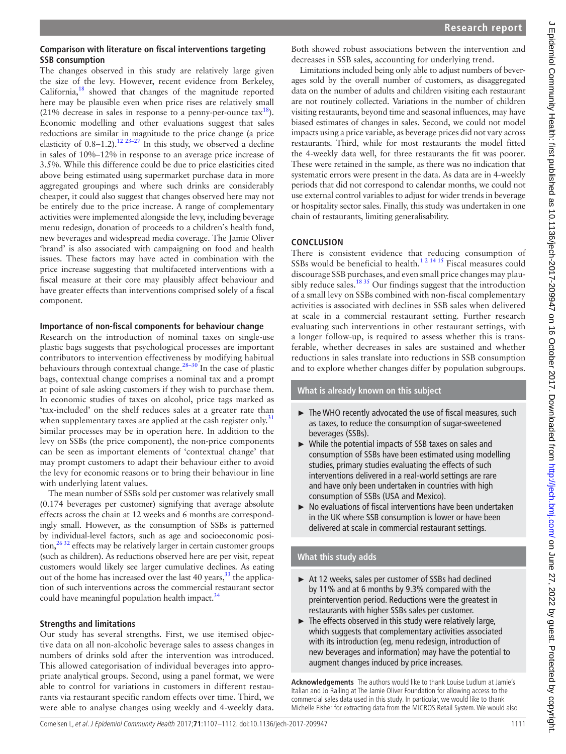## **Comparison with literature on fiscal interventions targeting SSB consumption**

The changes observed in this study are relatively large given the size of the levy. However, recent evidence from Berkeley, California[,18](#page-5-11) showed that changes of the magnitude reported here may be plausible even when price rises are relatively small (21% decrease in sales in response to a penny-per-ounce  $\text{tax}^{18}$  $\text{tax}^{18}$  $\text{tax}^{18}$ ). Economic modelling and other evaluations suggest that sales reductions are similar in magnitude to the price change (a price elasticity of  $0.8-1.2$ ).<sup>12 23-27</sup> In this study, we observed a decline in sales of 10%–12% in response to an average price increase of 3.5%. While this difference could be due to price elasticities cited above being estimated using supermarket purchase data in more aggregated groupings and where such drinks are considerably cheaper, it could also suggest that changes observed here may not be entirely due to the price increase. A range of complementary activities were implemented alongside the levy, including beverage menu redesign, donation of proceeds to a children's health fund, new beverages and widespread media coverage. The Jamie Oliver 'brand' is also associated with campaigning on food and health issues. These factors may have acted in combination with the price increase suggesting that multifaceted interventions with a fiscal measure at their core may plausibly affect behaviour and have greater effects than interventions comprised solely of a fiscal component.

## **Importance of non-fiscal components for behaviour change**

Research on the introduction of nominal taxes on single-use plastic bags suggests that psychological processes are important contributors to intervention effectiveness by modifying habitual behaviours through contextual change.<sup>[28–30](#page-5-12)</sup> In the case of plastic bags, contextual change comprises a nominal tax and a prompt at point of sale asking customers if they wish to purchase them. In economic studies of taxes on alcohol, price tags marked as 'tax-included' on the shelf reduces sales at a greater rate than when supplementary taxes are applied at the cash register only. $31$ Similar processes may be in operation here. In addition to the levy on SSBs (the price component), the non-price components can be seen as important elements of 'contextual change' that may prompt customers to adapt their behaviour either to avoid the levy for economic reasons or to bring their behaviour in line with underlying latent values.

The mean number of SSBs sold per customer was relatively small (0.174 beverages per customer) signifying that average absolute effects across the chain at 12 weeks and 6 months are correspondingly small. However, as the consumption of SSBs is patterned by individual-level factors, such as age and socioeconomic posi- $\frac{1}{2}$  effects may be relatively larger in certain customer groups (such as children). As reductions observed here are per visit, repeat customers would likely see larger cumulative declines. As eating out of the home has increased over the last 40 years,  $33$  the application of such interventions across the commercial restaurant sector could have meaningful population health impact.<sup>34</sup>

# **Strengths and limitations**

Our study has several strengths. First, we use itemised objective data on all non-alcoholic beverage sales to assess changes in numbers of drinks sold after the intervention was introduced. This allowed categorisation of individual beverages into appropriate analytical groups. Second, using a panel format, we were able to control for variations in customers in different restaurants via restaurant specific random effects over time. Third, we were able to analyse changes using weekly and 4-weekly data.

Both showed robust associations between the intervention and decreases in SSB sales, accounting for underlying trend.

Limitations included being only able to adjust numbers of beverages sold by the overall number of customers, as disaggregated data on the number of adults and children visiting each restaurant are not routinely collected. Variations in the number of children visiting restaurants, beyond time and seasonal influences, may have biased estimates of changes in sales. Second, we could not model impacts using a price variable, as beverage prices did not vary across restaurants. Third, while for most restaurants the model fitted the 4-weekly data well, for three restaurants the fit was poorer. These were retained in the sample, as there was no indication that systematic errors were present in the data. As data are in 4-weekly periods that did not correspond to calendar months, we could not use external control variables to adjust for wider trends in beverage or hospitality sector sales. Finally, this study was undertaken in one chain of restaurants, limiting generalisability.

# **Conclusion**

There is consistent evidence that reducing consumption of SSBs would be beneficial to health.<sup>1 2 14 15</sup> Fiscal measures could discourage SSB purchases, and even small price changes may plau-sibly reduce sales.<sup>[18 35](#page-5-11)</sup> Our findings suggest that the introduction of a small levy on SSBs combined with non-fiscal complementary activities is associated with declines in SSB sales when delivered at scale in a commercial restaurant setting. Further research evaluating such interventions in other restaurant settings, with a longer follow-up, is required to assess whether this is transferable, whether decreases in sales are sustained and whether reductions in sales translate into reductions in SSB consumption and to explore whether changes differ by population subgroups.

# **What is already known on this subject**

- ► The WHO recently advocated the use of fiscal measures, such as taxes, to reduce the consumption of sugar-sweetened beverages (SSBs).
- ► While the potential impacts of SSB taxes on sales and consumption of SSBs have been estimated using modelling studies, primary studies evaluating the effects of such interventions delivered in a real-world settings are rare and have only been undertaken in countries with high consumption of SSBs (USA and Mexico).
- ► No evaluations of fiscal interventions have been undertaken in the UK where SSB consumption is lower or have been delivered at scale in commercial restaurant settings.

# **What this study adds**

- ► At 12 weeks, sales per customer of SSBs had declined by 11% and at 6 months by 9.3% compared with the preintervention period. Reductions were the greatest in restaurants with higher SSBs sales per customer.
- $\blacktriangleright$  The effects observed in this study were relatively large, which suggests that complementary activities associated with its introduction (eg, menu redesign, introduction of new beverages and information) may have the potential to augment changes induced by price increases.

**Acknowledgements** The authors would like to thank Louise Ludlum at Jamie's Italian and Jo Ralling at The Jamie Oliver Foundation for allowing access to the commercial sales data used in this study. In particular, we would like to thank Michelle Fisher for extracting data from the MICROS Retail System. We would also